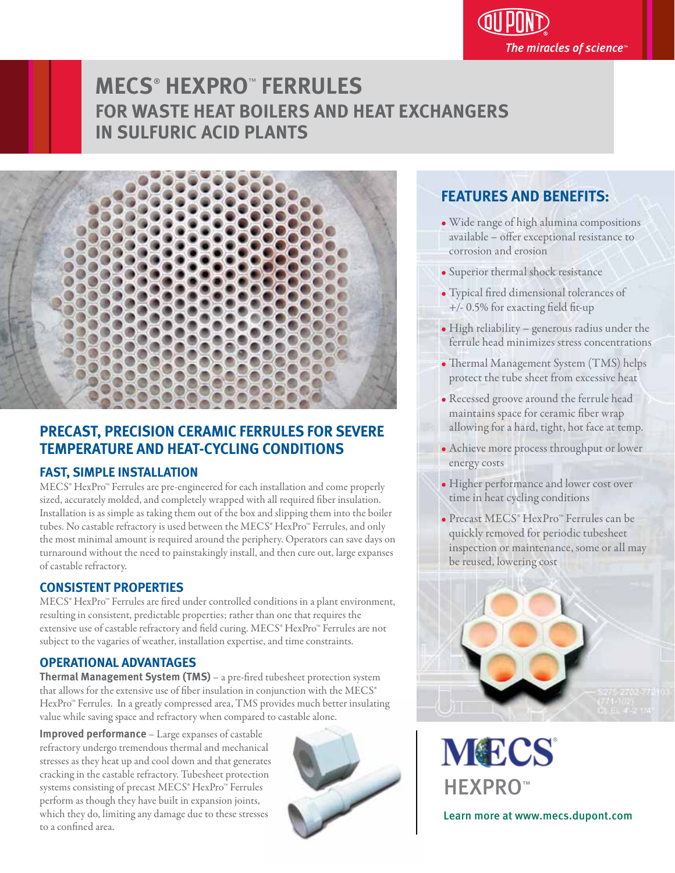The miracles of science $^\circ$ 

# **MECS**®  **HEXPRO**™  **FERRULES FOR WASTE HEAT BOILERS AND HEAT EXCHANGERS IN SULFURIC ACID PLANTS**



# **PRECAST, PRECISION CERAMIC FERRULES FOR SEVERE TEMPERATURE AND HEAT-CYCLING CONDITIONS**

# **FAST, SIMPLE INSTALLATION**

MECS® HexPro™ Ferrules are pre-engineered for each installation and come properly sized, accurately molded, and completely wrapped with all required fiber insulation. Installation is as simple as taking them out of the box and slipping them into the boiler tubes. No castable refractory is used between the MECS® HexPro™ Ferrules, and only the most minimal amount is required around the periphery. Operators can save days on turnaround without the need to painstakingly install, and then cure out, large expanses of castable refractory. Ĭ

# **CONSISTENT PROPERTIES**

MECS<sup>®</sup> HexPro<sup>™</sup> Ferrules are fired under controlled conditions in a plant environment, resulting in consistent, predictable properties; rather than one that requires the extensive use of castable refractory and field curing. MECS® HexPro™ Ferrules are not subject to the vagaries of weather, installation expertise, and time constraints. Ĭ

# **OPERATIONAL ADVANTAGES**

**Thermal Management System (TMS)** – a pre-fired tubesheet protection system that allows for the extensive use of fiber insulation in conjunction with the MECS® HexPro<sup>™</sup> Ferrules. In a greatly compressed area, TMS provides much better insulating value while saving space and refractory when compared to castable alone. Ì

**Improved performance** – Large expanses of castable refractory undergo tremendous thermal and mechanical stresses as they heat up and cool down and that generates cracking in the castable refractory. Tubesheet protection systems consisting of precast MECS® HexPro™ Ferrules perform as though they have built in expansion joints, which they do, limiting any damage due to these stresses to a confined area.



# **FEATURES AND BENEFITS:**

- Wide range of high alumina compositions available - offer exceptional resistance to corrosion and erosion
- Superior thermal shock resistance Ĭ
- Typical fired dimensional tolerances of  $+/- 0.5\%$  for exacting field fit-up
- High reliability generous radius under the ferrule head minimizes stress concentrations
- Thermal Management System (TMS) helps protect the tube sheet from excessive heat
- Recessed groove around the ferrule head maintains space for ceramic fiber wrap allowing for a hard, tight, hot face at temp.
- Achieve more process throughput or lower energy costs
- Higher performance and lower cost over time in heat cycling conditions
- r Precast MECS® HexPro™ Ferrules can be quickly removed for periodic tubesheet inspection or maintenance, some or all may be reused, lowering cost



**MECS** HEXPRO™ Learn more at www.mecs.dupont.com